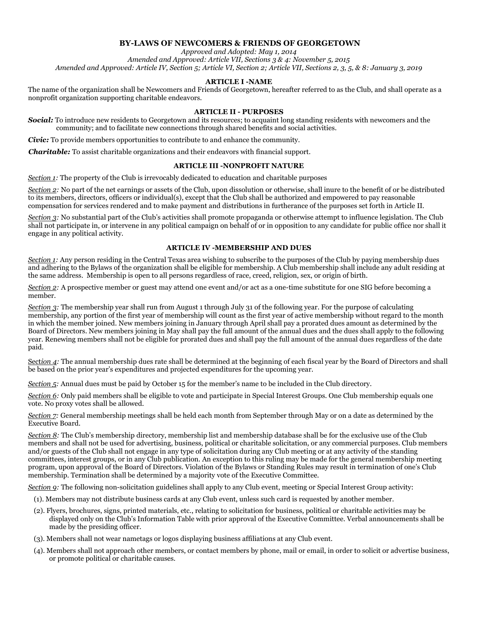## **BY-LAWS OF NEWCOMERS & FRIENDS OF GEORGETOWN**

*Approved and Adopted: May 1, 2014 Amended and Approved: Article VII, Sections 3 & 4: November 5, 2015 Amended and Approved: Article IV, Section 5; Article VI, Section 2; Article VII, Sections 2, 3, 5, & 8: January 3, 2019*

#### **ARTICLE I -NAME**

The name of the organization shall be Newcomers and Friends of Georgetown, hereafter referred to as the Club, and shall operate as a nonprofit organization supporting charitable endeavors.

### **ARTICLE II - PURPOSES**

*Social:* To introduce new residents to Georgetown and its resources; to acquaint long standing residents with newcomers and the community; and to facilitate new connections through shared benefits and social activities.

*Civic:* To provide members opportunities to contribute to and enhance the community.

*Charitable:* To assist charitable organizations and their endeavors with financial support.

### **ARTICLE III -NONPROFIT NATURE**

*Section 1:* The property of the Club is irrevocably dedicated to education and charitable purposes

*Section 2:* No part of the net earnings or assets of the Club, upon dissolution or otherwise, shall inure to the benefit of or be distributed to its members, directors, officers or individual(s), except that the Club shall be authorized and empowered to pay reasonable compensation for services rendered and to make payment and distributions in furtherance of the purposes set forth in Article II.

*Section 3:* No substantial part of the Club's activities shall promote propaganda or otherwise attempt to influence legislation. The Club shall not participate in, or intervene in any political campaign on behalf of or in opposition to any candidate for public office nor shall it engage in any political activity.

#### **ARTICLE IV -MEMBERSHIP AND DUES**

*Section 1:* Any person residing in the Central Texas area wishing to subscribe to the purposes of the Club by paying membership dues and adhering to the Bylaws of the organization shall be eligible for membership. A Club membership shall include any adult residing at the same address. Membership is open to all persons regardless of race, creed, religion, sex, or origin of birth.

*Section 2:* A prospective member or guest may attend one event and/or act as a one-time substitute for one SIG before becoming a member.

*Section 3:* The membership year shall run from August 1 through July 31 of the following year. For the purpose of calculating membership, any portion of the first year of membership will count as the first year of active membership without regard to the month in which the member joined. New members joining in January through April shall pay a prorated dues amount as determined by the Board of Directors. New members joining in May shall pay the full amount of the annual dues and the dues shall apply to the following year. Renewing members shall not be eligible for prorated dues and shall pay the full amount of the annual dues regardless of the date paid.

Section 4: The annual membership dues rate shall be determined at the beginning of each fiscal year by the Board of Directors and shall be based on the prior year's expenditures and projected expenditures for the upcoming year.

*Section 5:* Annual dues must be paid by October 15 for the member's name to be included in the Club directory.

*Section 6:* Only paid members shall be eligible to vote and participate in Special Interest Groups. One Club membership equals one vote. No proxy votes shall be allowed.

*Section 7:* General membership meetings shall be held each month from September through May or on a date as determined by the Executive Board.

*Section 8:* The Club's membership directory, membership list and membership database shall be for the exclusive use of the Club members and shall not be used for advertising, business, political or charitable solicitation, or any commercial purposes. Club members and/or guests of the Club shall not engage in any type of solicitation during any Club meeting or at any activity of the standing committees, interest groups, or in any Club publication. An exception to this ruling may be made for the general membership meeting program, upon approval of the Board of Directors. Violation of the Bylaws or Standing Rules may result in termination of one's Club membership. Termination shall be determined by a majority vote of the Executive Committee.

*Section 9:* The following non-solicitation guidelines shall apply to any Club event, meeting or Special Interest Group activity:

(1). Members may not distribute business cards at any Club event, unless such card is requested by another member.

- (2). Flyers, brochures, signs, printed materials, etc., relating to solicitation for business, political or charitable activities may be displayed only on the Club's Information Table with prior approval of the Executive Committee. Verbal announcements shall be made by the presiding officer.
- (3). Members shall not wear nametags or logos displaying business affiliations at any Club event.
- (4). Members shall not approach other members, or contact members by phone, mail or email, in order to solicit or advertise business, or promote political or charitable causes.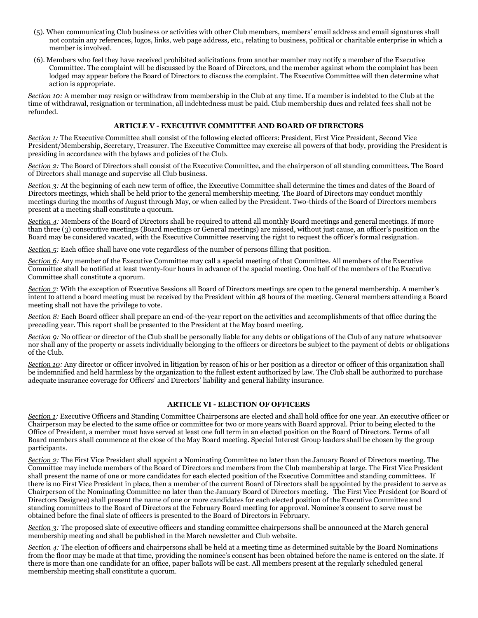- (5). When communicating Club business or activities with other Club members, members' email address and email signatures shall not contain any references, logos, links, web page address, etc., relating to business, political or charitable enterprise in which a member is involved.
- (6). Members who feel they have received prohibited solicitations from another member may notify a member of the Executive Committee. The complaint will be discussed by the Board of Directors, and the member against whom the complaint has been lodged may appear before the Board of Directors to discuss the complaint. The Executive Committee will then determine what action is appropriate.

*Section 10:* A member may resign or withdraw from membership in the Club at any time. If a member is indebted to the Club at the time of withdrawal, resignation or termination, all indebtedness must be paid. Club membership dues and related fees shall not be refunded.

### **ARTICLE V - EXECUTIVE COMMITTEE AND BOARD OF DIRECTORS**

*Section 1:* The Executive Committee shall consist of the following elected officers: President, First Vice President, Second Vice President/Membership, Secretary, Treasurer. The Executive Committee may exercise all powers of that body, providing the President is presiding in accordance with the bylaws and policies of the Club.

*Section 2:* The Board of Directors shall consist of the Executive Committee, and the chairperson of all standing committees. The Board of Directors shall manage and supervise all Club business.

*Section 3:* At the beginning of each new term of office, the Executive Committee shall determine the times and dates of the Board of Directors meetings, which shall be held prior to the general membership meeting. The Board of Directors may conduct monthly meetings during the months of August through May, or when called by the President. Two-thirds of the Board of Directors members present at a meeting shall constitute a quorum.

*Section 4:* Members of the Board of Directors shall be required to attend all monthly Board meetings and general meetings. If more than three (3) consecutive meetings (Board meetings or General meetings) are missed, without just cause, an officer's position on the Board may be considered vacated, with the Executive Committee reserving the right to request the officer's formal resignation.

*Section 5:* Each office shall have one vote regardless of the number of persons filling that position.

*Section 6:* Any member of the Executive Committee may call a special meeting of that Committee. All members of the Executive Committee shall be notified at least twenty-four hours in advance of the special meeting. One half of the members of the Executive Committee shall constitute a quorum.

*Section 7:* With the exception of Executive Sessions all Board of Directors meetings are open to the general membership. A member's intent to attend a board meeting must be received by the President within 48 hours of the meeting. General members attending a Board meeting shall not have the privilege to vote.

*Section 8:* Each Board officer shall prepare an end-of-the-year report on the activities and accomplishments of that office during the preceding year. This report shall be presented to the President at the May board meeting.

*Section 9:* No officer or director of the Club shall be personally liable for any debts or obligations of the Club of any nature whatsoever nor shall any of the property or assets individually belonging to the officers or directors be subject to the payment of debts or obligations of the Club.

*Section 10:* Any director or officer involved in litigation by reason of his or her position as a director or officer of this organization shall be indemnified and held harmless by the organization to the fullest extent authorized by law. The Club shall be authorized to purchase adequate insurance coverage for Officers' and Directors' liability and general liability insurance.

### **ARTICLE VI - ELECTION OF OFFICERS**

*Section 1:* Executive Officers and Standing Committee Chairpersons are elected and shall hold office for one year. An executive officer or Chairperson may be elected to the same office or committee for two or more years with Board approval. Prior to being elected to the Office of President, a member must have served at least one full term in an elected position on the Board of Directors. Terms of all Board members shall commence at the close of the May Board meeting. Special Interest Group leaders shall be chosen by the group participants.

*Section 2:* The First Vice President shall appoint a Nominating Committee no later than the January Board of Directors meeting. The Committee may include members of the Board of Directors and members from the Club membership at large. The First Vice President shall present the name of one or more candidates for each elected position of the Executive Committee and standing committees. If there is no First Vice President in place, then a member of the current Board of Directors shall be appointed by the president to serve as Chairperson of the Nominating Committee no later than the January Board of Directors meeting. The First Vice President (or Board of Directors Designee) shall present the name of one or more candidates for each elected position of the Executive Committee and standing committees to the Board of Directors at the February Board meeting for approval. Nominee's consent to serve must be obtained before the final slate of officers is presented to the Board of Directors in February.

*Section 3:* The proposed slate of executive officers and standing committee chairpersons shall be announced at the March general membership meeting and shall be published in the March newsletter and Club website.

*Section 4:* The election of officers and chairpersons shall be held at a meeting time as determined suitable by the Board Nominations from the floor may be made at that time, providing the nominee's consent has been obtained before the name is entered on the slate. If there is more than one candidate for an office, paper ballots will be cast. All members present at the regularly scheduled general membership meeting shall constitute a quorum.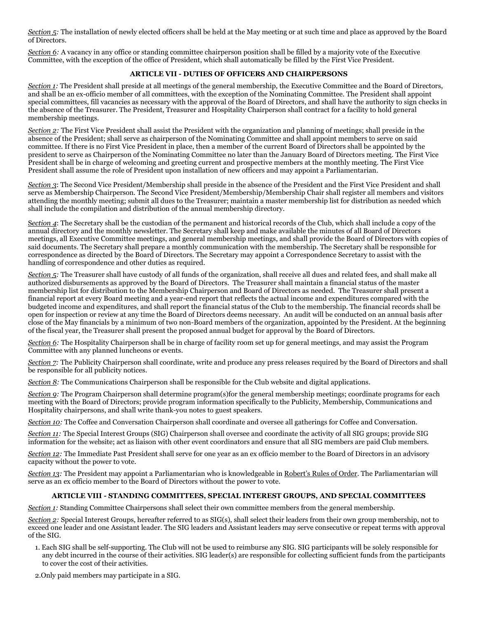*Section 5:* The installation of newly elected officers shall be held at the May meeting or at such time and place as approved by the Board of Directors.

*Section 6:* A vacancy in any office or standing committee chairperson position shall be filled by a majority vote of the Executive Committee, with the exception of the office of President, which shall automatically be filled by the First Vice President.

## **ARTICLE VII - DUTIES OF OFFICERS AND CHAIRPERSONS**

*Section 1:* The President shall preside at all meetings of the general membership, the Executive Committee and the Board of Directors, and shall be an ex-officio member of all committees, with the exception of the Nominating Committee. The President shall appoint special committees, fill vacancies as necessary with the approval of the Board of Directors, and shall have the authority to sign checks in the absence of the Treasurer. The President, Treasurer and Hospitality Chairperson shall contract for a facility to hold general membership meetings.

*Section 2:* The First Vice President shall assist the President with the organization and planning of meetings; shall preside in the absence of the President; shall serve as chairperson of the Nominating Committee and shall appoint members to serve on said committee. If there is no First Vice President in place, then a member of the current Board of Directors shall be appointed by the president to serve as Chairperson of the Nominating Committee no later than the January Board of Directors meeting. The First Vice President shall be in charge of welcoming and greeting current and prospective members at the monthly meeting. The First Vice President shall assume the role of President upon installation of new officers and may appoint a Parliamentarian.

*Section 3*: The Second Vice President/Membership shall preside in the absence of the President and the First Vice President and shall serve as Membership Chairperson. The Second Vice President/Membership/Membership Chair shall register all members and visitors attending the monthly meeting; submit all dues to the Treasurer; maintain a master membership list for distribution as needed which shall include the compilation and distribution of the annual membership directory.

S*ection 4*: The Secretary shall be the custodian of the permanent and historical records of the Club, which shall include a copy of the annual directory and the monthly newsletter. The Secretary shall keep and make available the minutes of all Board of Directors meetings, all Executive Committee meetings, and general membership meetings, and shall provide the Board of Directors with copies of said documents. The Secretary shall prepare a monthly communication with the membership. The Secretary shall be responsible for correspondence as directed by the Board of Directors. The Secretary may appoint a Correspondence Secretary to assist with the handling of correspondence and other duties as required.

*Section 5:* The Treasurer shall have custody of all funds of the organization, shall receive all dues and related fees, and shall make all authorized disbursements as approved by the Board of Directors. The Treasurer shall maintain a financial status of the master membership list for distribution to the Membership Chairperson and Board of Directors as needed. The Treasurer shall present a financial report at every Board meeting and a year-end report that reflects the actual income and expenditures compared with the budgeted income and expenditures, and shall report the financial status of the Club to the membership. The financial records shall be open for inspection or review at any time the Board of Directors deems necessary. An audit will be conducted on an annual basis after close of the May financials by a minimum of two non-Board members of the organization, appointed by the President. At the beginning of the fiscal year, the Treasurer shall present the proposed annual budget for approval by the Board of Directors.

*Section 6:* The Hospitality Chairperson shall be in charge of facility room set up for general meetings, and may assist the Program Committee with any planned luncheons or events.

*Section 7:* The Publicity Chairperson shall coordinate, write and produce any press releases required by the Board of Directors and shall be responsible for all publicity notices.

*Section 8:* The Communications Chairperson shall be responsible for the Club website and digital applications.

*Section 9:* The Program Chairperson shall determine program(s)for the general membership meetings; coordinate programs for each meeting with the Board of Directors; provide program information specifically to the Publicity, Membership, Communications and Hospitality chairpersons, and shall write thank-you notes to guest speakers.

*Section 10:* The Coffee and Conversation Chairperson shall coordinate and oversee all gatherings for Coffee and Conversation.

*Section 11:* The Special Interest Groups (SIG) Chairperson shall oversee and coordinate the activity of all SIG groups; provide SIG information for the website; act as liaison with other event coordinators and ensure that all SIG members are paid Club members.

*Section 12:* The Immediate Past President shall serve for one year as an ex officio member to the Board of Directors in an advisory capacity without the power to vote.

*Section 13:* The President may appoint a Parliamentarian who is knowledgeable in Robert's Rules of Order. The Parliamentarian will serve as an ex officio member to the Board of Directors without the power to vote.

### **ARTICLE VIII - STANDING COMMITTEES, SPECIAL INTEREST GROUPS, AND SPECIAL COMMITTEES**

*Section 1:* Standing Committee Chairpersons shall select their own committee members from the general membership.

*Section 2:* Special Interest Groups, hereafter referred to as SIG(s), shall select their leaders from their own group membership, not to exceed one leader and one Assistant leader. The SIG leaders and Assistant leaders may serve consecutive or repeat terms with approval of the SIG.

1. Each SIG shall be self-supporting. The Club will not be used to reimburse any SIG. SIG participants will be solely responsible for any debt incurred in the course of their activities. SIG leader(s) are responsible for collecting sufficient funds from the participants to cover the cost of their activities.

2.Only paid members may participate in a SIG.